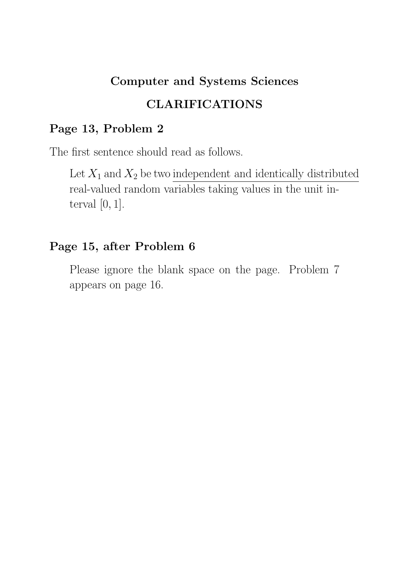# Computer and Systems Sciences CLARIFICATIONS

# Page 13, Problem 2

The first sentence should read as follows.

Let  $X_1$  and  $X_2$  be two independent and identically distributed real-valued random variables taking values in the unit interval  $[0, 1]$ .

# Page 15, after Problem 6

Please ignore the blank space on the page. Problem 7 appears on page 16.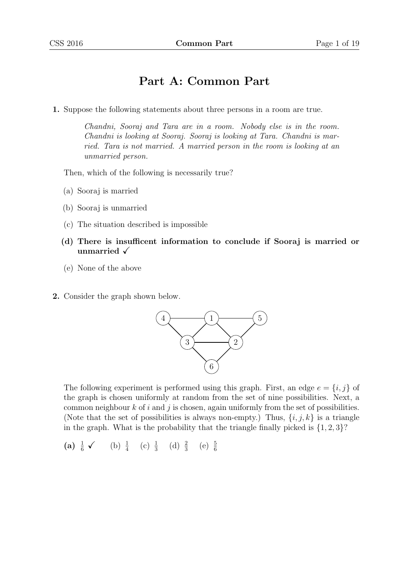# Part A: Common Part

1. Suppose the following statements about three persons in a room are true.

Chandni, Sooraj and Tara are in a room. Nobody else is in the room. Chandni is looking at Sooraj. Sooraj is looking at Tara. Chandni is married. Tara is not married. A married person in the room is looking at an unmarried person.

Then, which of the following is necessarily true?

- (a) Sooraj is married
- (b) Sooraj is unmarried
- (c) The situation described is impossible
- (d) There is insufficent information to conclude if Sooraj is married or unmarried  $\sqrt{}$
- (e) None of the above
- 2. Consider the graph shown below.



The following experiment is performed using this graph. First, an edge  $e = \{i, j\}$  of the graph is chosen uniformly at random from the set of nine possibilities. Next, a common neighbour  $k$  of  $i$  and  $j$  is chosen, again uniformly from the set of possibilities. (Note that the set of possibilities is always non-empty.) Thus,  $\{i, j, k\}$  is a triangle in the graph. What is the probability that the triangle finally picked is  $\{1, 2, 3\}$ ?

(a)  $\frac{1}{6}$   $\checkmark$  (b)  $\frac{1}{4}$  (c)  $\frac{1}{3}$  (d)  $\frac{2}{3}$  (e)  $\frac{5}{6}$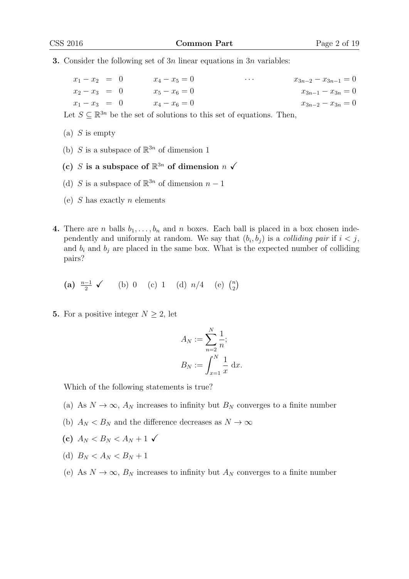**3.** Consider the following set of  $3n$  linear equations in  $3n$  variables:

| $x_1 - x_2 = 0$ |  | $x_4 - x_5 = 0$ | $\cdots$ | $x_{3n-2} - x_{3n-1} = 0$ |
|-----------------|--|-----------------|----------|---------------------------|
| $x_2 - x_3 = 0$ |  | $x_5 - x_6 = 0$ |          | $x_{3n-1} - x_{3n} = 0$   |
| $x_1 - x_3 = 0$ |  | $x_4 - x_6 = 0$ |          | $x_{3n-2} - x_{3n} = 0$   |

Let  $S \subseteq \mathbb{R}^{3n}$  be the set of solutions to this set of equations. Then,

 $(a)$  S is empty

- (b) S is a subspace of  $\mathbb{R}^{3n}$  of dimension 1
- (c) S is a subspace of  $\mathbb{R}^{3n}$  of dimension  $n \checkmark$
- (d) S is a subspace of  $\mathbb{R}^{3n}$  of dimension  $n-1$
- (e)  $S$  has exactly  $n$  elements
- 4. There are *n* balls  $b_1, \ldots, b_n$  and *n* boxes. Each ball is placed in a box chosen independently and uniformly at random. We say that  $(b_i, b_j)$  is a *colliding pair* if  $i < j$ , and  $b_i$  and  $b_j$  are placed in the same box. What is the expected number of colliding pairs?

(a) 
$$
\frac{n-1}{2}
$$
   
 (b) 0 (c) 1 (d)  $n/4$  (e)  $\binom{n}{2}$ 

5. For a positive integer  $N \geq 2$ , let

$$
A_N := \sum_{n=2}^N \frac{1}{n};
$$
  

$$
B_N := \int_{x=1}^N \frac{1}{x} dx.
$$

Which of the following statements is true?

- (a) As  $N \to \infty$ ,  $A_N$  increases to infinity but  $B_N$  converges to a finite number
- (b)  $A_N < B_N$  and the difference decreases as  $N \to \infty$
- (c)  $A_N < B_N < A_N + 1 \checkmark$
- (d)  $B_N < A_N < B_N + 1$
- (e) As  $N \to \infty$ ,  $B_N$  increases to infinity but  $A_N$  converges to a finite number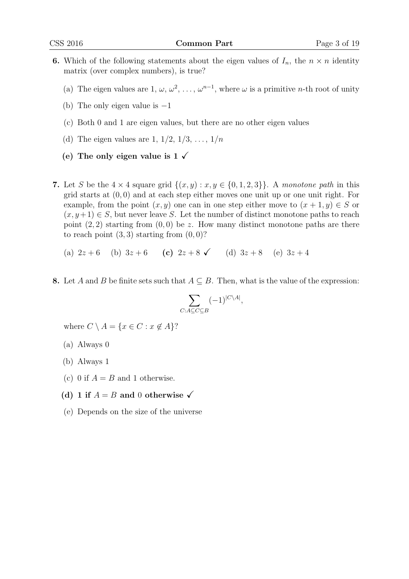- 6. Which of the following statements about the eigen values of  $I_n$ , the  $n \times n$  identity matrix (over complex numbers), is true?
	- (a) The eigen values are 1,  $\omega$ ,  $\omega^2$ , ...,  $\omega^{n-1}$ , where  $\omega$  is a primitive *n*-th root of unity
	- (b) The only eigen value is  $-1$
	- (c) Both 0 and 1 are eigen values, but there are no other eigen values
	- (d) The eigen values are 1,  $1/2$ ,  $1/3$ , ...,  $1/n$
	- (e) The only eigen value is  $1 \checkmark$
- 7. Let S be the  $4 \times 4$  square grid  $\{(x, y) : x, y \in \{0, 1, 2, 3\}\}\.$  A monotone path in this grid starts at  $(0, 0)$  and at each step either moves one unit up or one unit right. For example, from the point  $(x, y)$  one can in one step either move to  $(x + 1, y) \in S$  or  $(x, y+1) \in S$ , but never leave S. Let the number of distinct monotone paths to reach point  $(2, 2)$  starting from  $(0, 0)$  be z. How many distinct monotone paths are there to reach point  $(3, 3)$  starting from  $(0, 0)$ ?

(a)  $2z + 6$  (b)  $3z + 6$  (c)  $2z + 8$  (d)  $3z + 8$  (e)  $3z + 4$ 

8. Let A and B be finite sets such that  $A \subseteq B$ . Then, what is the value of the expression:

$$
\sum_{C:A\subseteq C\subseteq B}(-1)^{|C\setminus A|},
$$

where  $C \setminus A = \{x \in C : x \notin A\}$ ?

- (a) Always 0
- (b) Always 1
- (c) 0 if  $A = B$  and 1 otherwise.
- (d) 1 if  $A = B$  and 0 otherwise  $\checkmark$
- (e) Depends on the size of the universe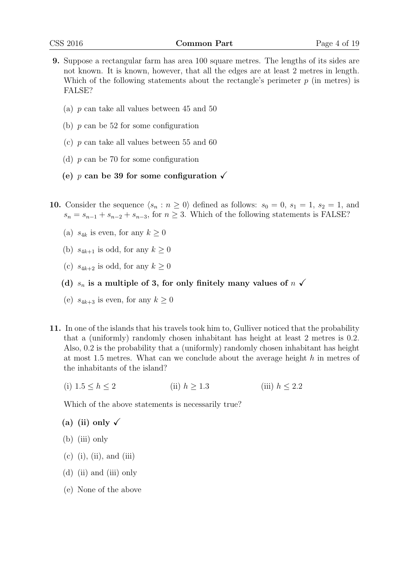- 9. Suppose a rectangular farm has area 100 square metres. The lengths of its sides are not known. It is known, however, that all the edges are at least 2 metres in length. Which of the following statements about the rectangle's perimeter  $p$  (in metres) is FALSE?
	- (a) p can take all values between 45 and 50
	- (b)  $p$  can be 52 for some configuration
	- (c)  $p$  can take all values between 55 and 60
	- (d) p can be 70 for some configuration
	- (e) p can be 39 for some configuration  $\sqrt{ }$
- 10. Consider the sequence  $\langle s_n : n \geq 0 \rangle$  defined as follows:  $s_0 = 0, s_1 = 1, s_2 = 1,$  and  $s_n = s_{n-1} + s_{n-2} + s_{n-3}$ , for  $n \geq 3$ . Which of the following statements is FALSE?
	- (a)  $s_{4k}$  is even, for any  $k \geq 0$
	- (b)  $s_{4k+1}$  is odd, for any  $k \geq 0$
	- (c)  $s_{4k+2}$  is odd, for any  $k \geq 0$
	- (d)  $s_n$  is a multiple of 3, for only finitely many values of  $n \checkmark$
	- (e)  $s_{4k+3}$  is even, for any  $k \geq 0$
- 11. In one of the islands that his travels took him to, Gulliver noticed that the probability that a (uniformly) randomly chosen inhabitant has height at least 2 metres is 0.2. Also, 0.2 is the probability that a (uniformly) randomly chosen inhabitant has height at most 1.5 metres. What can we conclude about the average height h in metres of the inhabitants of the island?
	- (i)  $1.5 < h < 2$  (ii)  $h > 1.3$  (iii)  $h < 2.2$

Which of the above statements is necessarily true?

(a) (ii) only  $\sqrt{}$ 

- (b) (iii) only
- $(c)$  (i), (ii), and (iii)
- (d) (ii) and (iii) only
- (e) None of the above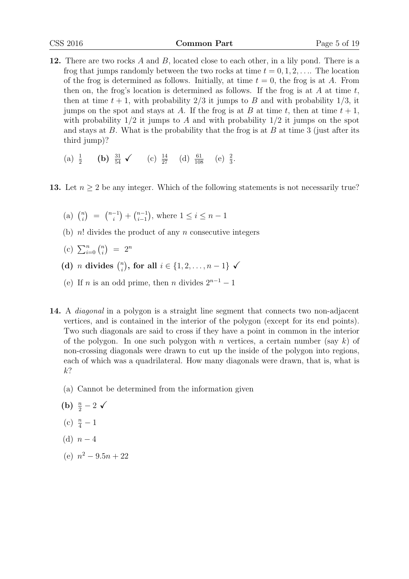- 12. There are two rocks A and B, located close to each other, in a lily pond. There is a frog that jumps randomly between the two rocks at time  $t = 0, 1, 2, \ldots$  The location of the frog is determined as follows. Initially, at time  $t = 0$ , the frog is at A. From then on, the frog's location is determined as follows. If the frog is at  $A$  at time  $t$ , then at time  $t + 1$ , with probability  $2/3$  it jumps to B and with probability  $1/3$ , it jumps on the spot and stays at A. If the frog is at B at time t, then at time  $t + 1$ , with probability  $1/2$  it jumps to A and with probability  $1/2$  it jumps on the spot and stays at  $B$ . What is the probability that the frog is at  $B$  at time 3 (just after its third jump)?
	- (a)  $\frac{1}{2}$  (b)  $\frac{31}{54}$   $\checkmark$  (c)  $\frac{14}{27}$  (d)  $\frac{61}{108}$  (e)  $\frac{2}{3}$ .
- 13. Let  $n \geq 2$  be any integer. Which of the following statements is not necessarily true?
	- (a)  $\binom{n}{i}$  $\binom{n}{i} = \binom{n-1}{i}$  $\binom{-1}{i} + \binom{n-1}{i-1}$  $_{i-1}^{n-1}$ ), where  $1 \leq i \leq n-1$
	- (b)  $n!$  divides the product of any n consecutive integers
	- (c)  $\sum_{i=0}^{n} \binom{n}{i}$  $\binom{n}{i}$  =  $2^n$
	- (d) *n* divides  $\binom{n}{i}$  $\binom{n}{i}$ , for all  $i \in \{1, 2, ..., n-1\}$  √
	- (e) If *n* is an odd prime, then *n* divides  $2^{n-1} 1$
- 14. A diagonal in a polygon is a straight line segment that connects two non-adjacent vertices, and is contained in the interior of the polygon (except for its end points). Two such diagonals are said to cross if they have a point in common in the interior of the polygon. In one such polygon with n vertices, a certain number (say k) of non-crossing diagonals were drawn to cut up the inside of the polygon into regions, each of which was a quadrilateral. How many diagonals were drawn, that is, what is  $k$ ?
	- (a) Cannot be determined from the information given
	- (b)  $\frac{n}{2} 2 \checkmark$
	- (c)  $\frac{n}{4} 1$
	- (d)  $n-4$
	- (e)  $n^2 9.5n + 22$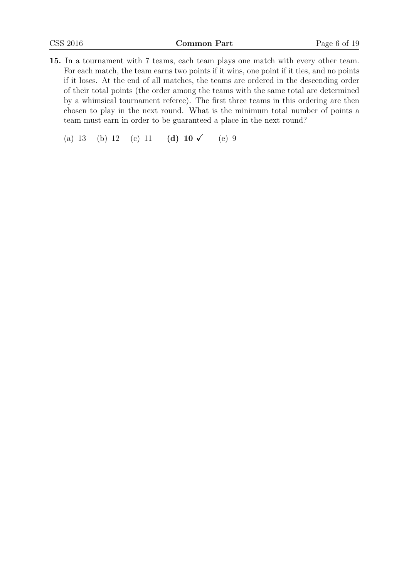- 15. In a tournament with 7 teams, each team plays one match with every other team. For each match, the team earns two points if it wins, one point if it ties, and no points if it loses. At the end of all matches, the teams are ordered in the descending order of their total points (the order among the teams with the same total are determined by a whimsical tournament referee). The first three teams in this ordering are then chosen to play in the next round. What is the minimum total number of points a team must earn in order to be guaranteed a place in the next round?
	- (a) 13 (b) 12 (c) 11 (d)  $10 \checkmark$  (e) 9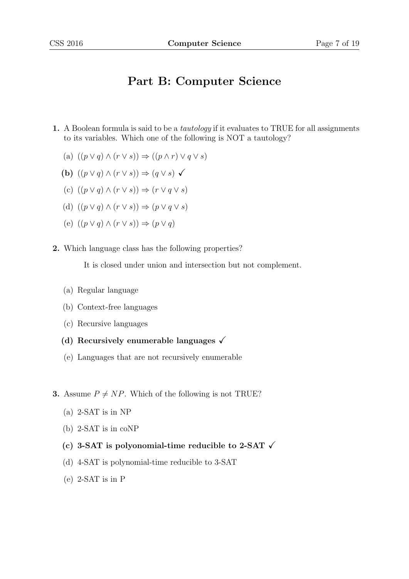# Part B: Computer Science

- 1. A Boolean formula is said to be a tautology if it evaluates to TRUE for all assignments to its variables. Which one of the following is NOT a tautology?
	- (a)  $((p \vee q) \wedge (r \vee s)) \Rightarrow ((p \wedge r) \vee q \vee s)$
	- (b)  $((p \vee q) \wedge (r \vee s)) \Rightarrow (q \vee s) \checkmark$
	- (c)  $((p \vee q) \wedge (r \vee s)) \Rightarrow (r \vee q \vee s)$
	- (d)  $((p \vee q) \wedge (r \vee s)) \Rightarrow (p \vee q \vee s)$
	- (e)  $((p \vee q) \wedge (r \vee s)) \Rightarrow (p \vee q)$
- 2. Which language class has the following properties?

It is closed under union and intersection but not complement.

- (a) Regular language
- (b) Context-free languages
- (c) Recursive languages
- (d) Recursively enumerable languages  $\sqrt{ }$
- (e) Languages that are not recursively enumerable
- **3.** Assume  $P \neq NP$ . Which of the following is not TRUE?
	- (a) 2-SAT is in NP
	- (b) 2-SAT is in coNP
	- (c) 3-SAT is polyonomial-time reducible to 2-SAT  $\checkmark$
	- (d) 4-SAT is polynomial-time reducible to 3-SAT
	- (e) 2-SAT is in P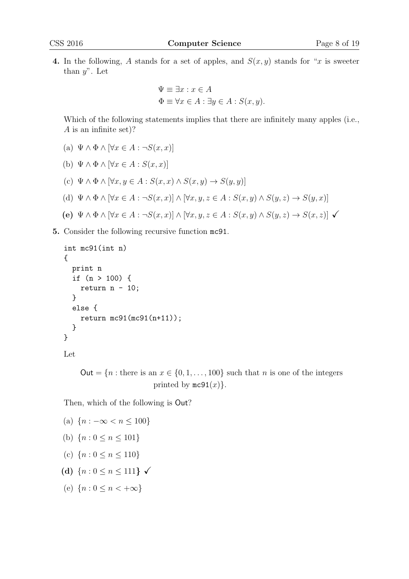4. In the following, A stands for a set of apples, and  $S(x, y)$  stands for "x is sweeter than  $y$ ". Let

$$
\Psi \equiv \exists x : x \in A
$$
  

$$
\Phi \equiv \forall x \in A : \exists y \in A : S(x, y).
$$

Which of the following statements implies that there are infinitely many apples (i.e., A is an infinite set)?

- (a)  $\Psi \wedge \Phi \wedge [\forall x \in A : \neg S(x,x)]$
- (b)  $\Psi \wedge \Phi \wedge [\forall x \in A : S(x,x)]$
- (c)  $\Psi \wedge \Phi \wedge [\forall x, y \in A : S(x,x) \wedge S(x,y) \rightarrow S(y,y)]$
- (d)  $\Psi \wedge \Phi \wedge [\forall x \in A : \neg S(x,x)] \wedge [\forall x, y, z \in A : S(x,y) \wedge S(y,z) \rightarrow S(y,x)]$
- (e)  $\Psi \wedge \Phi \wedge [\forall x \in A : \neg S(x,x)] \wedge [\forall x,y,z \in A : S(x,y) \wedge S(y,z) \rightarrow S(x,z)]$   $\checkmark$
- 5. Consider the following recursive function mc91.

```
int mc91(int n)
{
 print n
  if (n > 100) {
    return n - 10;
  }
  else {
    return mc91(mc91(n+11));
  }
}
```

```
Let
```
Out =  $\{n : \text{there is an } x \in \{0, 1, \ldots, 100\} \text{ such that } n \text{ is one of the integers}$ printed by  $mc91(x)$ .

Then, which of the following is Out?

```
(a) {n : -\infty < n < 100}(b) {n: 0 \leq n \leq 101}(c) \{n: 0 \le n \le 110\}(d) {n: 0 \le n \le 111} \checkmark(e) {n: 0 \leq n \leq +\infty}
```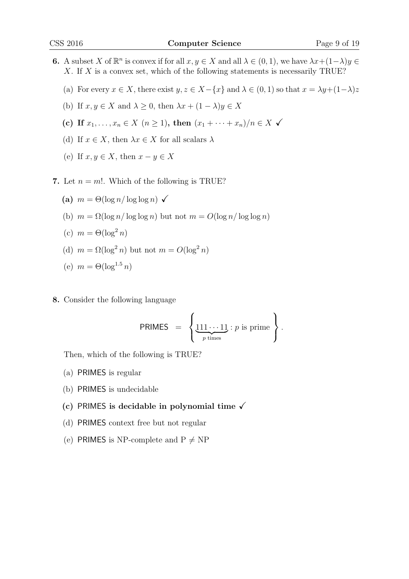- **6.** A subset X of  $\mathbb{R}^n$  is convex if for all  $x, y \in X$  and all  $\lambda \in (0, 1)$ , we have  $\lambda x + (1 \lambda)y \in$ X. If X is a convex set, which of the following statements is necessarily TRUE?
	- (a) For every  $x \in X$ , there exist  $y, z \in X-\{x\}$  and  $\lambda \in (0,1)$  so that  $x = \lambda y + (1-\lambda)z$
	- (b) If  $x, y \in X$  and  $\lambda \geq 0$ , then  $\lambda x + (1 \lambda)y \in X$
	- (c) If  $x_1, ..., x_n \in X \ (n \ge 1)$ , then  $(x_1 + ... + x_n)/n \in X$   $\checkmark$
	- (d) If  $x \in X$ , then  $\lambda x \in X$  for all scalars  $\lambda$
	- (e) If  $x, y \in X$ , then  $x y \in X$
- 7. Let  $n = m!$ . Which of the following is TRUE?
	- (a)  $m = \Theta(\log n / \log \log n)$   $\checkmark$
	- (b)  $m = \Omega(\log n / \log \log n)$  but not  $m = O(\log n / \log \log n)$
	- (c)  $m = \Theta(\log^2 n)$
	- (d)  $m = \Omega(\log^2 n)$  but not  $m = O(\log^2 n)$

$$
(e) \ \ m = \Theta(\log^{1.5} n)
$$

8. Consider the following language

PRIMES = 
$$
\left\{\underbrace{111\cdots11}_{p \text{ times}} : p \text{ is prime}\right\}.
$$

Then, which of the following is TRUE?

- (a) PRIMES is regular
- (b) PRIMES is undecidable
- (c) PRIMES is decidable in polynomial time  $\sqrt{ }$
- (d) PRIMES context free but not regular
- (e) PRIMES is NP-complete and  $P \neq NP$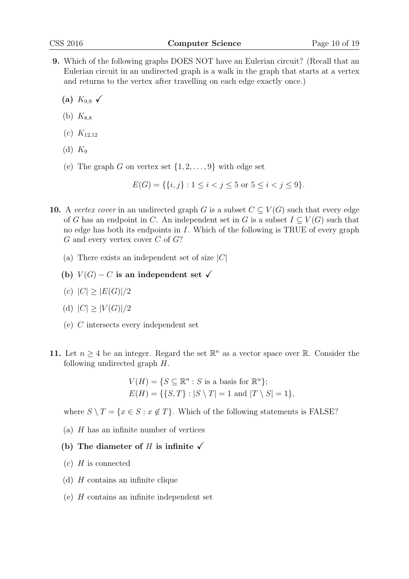- 9. Which of the following graphs DOES NOT have an Eulerian circuit? (Recall that an Eulerian circuit in an undirected graph is a walk in the graph that starts at a vertex and returns to the vertex after travelling on each edge exactly once.)
	- (a)  $K_{9.9}$   $\checkmark$
	- (b)  $K_{8,8}$
	- (c)  $K_{12,12}$
	- (d)  $K_9$
	- (e) The graph G on vertex set  $\{1, 2, \ldots, 9\}$  with edge set

$$
E(G) = \{ \{i, j\} : 1 \le i < j \le 5 \text{ or } 5 \le i < j \le 9 \}.
$$

- 10. A vertex cover in an undirected graph G is a subset  $C \subseteq V(G)$  such that every edge of G has an endpoint in C. An independent set in G is a subset  $I \subseteq V(G)$  such that no edge has both its endpoints in I. Which of the following is TRUE of every graph  $G$  and every vertex cover  $C$  of  $G$ ?
	- (a) There exists an independent set of size  $|C|$
	- (b)  $V(G) C$  is an independent set  $\checkmark$
	- (c)  $|C| > |E(G)|/2$
	- (d)  $|C| \geq |V(G)|/2$
	- (e) C intersects every independent set
- 11. Let  $n \geq 4$  be an integer. Regard the set  $\mathbb{R}^n$  as a vector space over  $\mathbb{R}$ . Consider the following undirected graph H.

$$
V(H) = \{ S \subseteq \mathbb{R}^n : S \text{ is a basis for } \mathbb{R}^n \};
$$
  

$$
E(H) = \{ \{ S, T \} : |S \setminus T| = 1 \text{ and } |T \setminus S| = 1 \},
$$

where  $S \setminus T = \{x \in S : x \notin T\}$ . Which of the following statements is FALSE?

- (a)  $H$  has an infinite number of vertices
- (b) The diameter of H is infinite  $\checkmark$
- $(c)$  H is connected
- (d)  $H$  contains an infinite clique
- (e) H contains an infinite independent set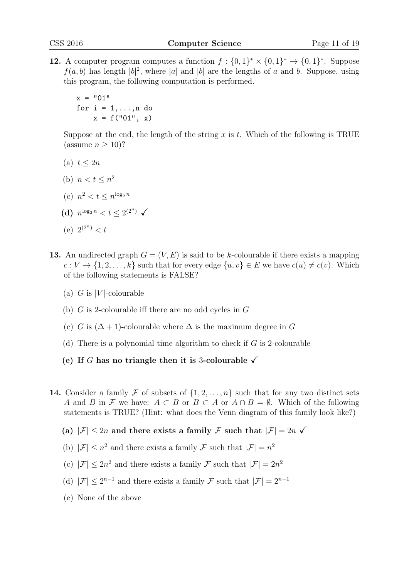12. A computer program computes a function  $f: \{0,1\}^* \times \{0,1\}^* \to \{0,1\}^*$ . Suppose  $f(a, b)$  has length  $|b|^2$ , where |a| and |b| are the lengths of a and b. Suppose, using this program, the following computation is performed.

 $x = "01"$ for  $i = 1, \ldots, n$  do  $x = f("01", x)$ 

Suppose at the end, the length of the string x is t. Which of the following is TRUE (assume  $n > 10$ )?

- (a)  $t < 2n$
- (b)  $n < t \leq n^2$
- (c)  $n^2 < t \leq n^{\log_2 n}$
- (d)  $n^{\log_2 n} < t \leq 2^{(2^n)}$   $\checkmark$
- (e)  $2^{(2^n)} < t$
- 13. An undirected graph  $G = (V, E)$  is said to be k-colourable if there exists a mapping  $c: V \to \{1, 2, \ldots, k\}$  such that for every edge  $\{u, v\} \in E$  we have  $c(u) \neq c(v)$ . Which of the following statements is FALSE?
	- (a) G is  $|V|$ -colourable
	- (b) G is 2-colourable iff there are no odd cycles in G
	- (c) G is  $(\Delta + 1)$ -colourable where  $\Delta$  is the maximum degree in G
	- (d) There is a polynomial time algorithm to check if  $G$  is 2-colourable
	- (e) If G has no triangle then it is 3-colourable  $\checkmark$
- 14. Consider a family F of subsets of  $\{1, 2, \ldots, n\}$  such that for any two distinct sets A and B in F we have:  $A \subset B$  or  $B \subset A$  or  $A \cap B = \emptyset$ . Which of the following statements is TRUE? (Hint: what does the Venn diagram of this family look like?)
	- (a)  $|\mathcal{F}| \leq 2n$  and there exists a family F such that  $|\mathcal{F}| = 2n$   $\checkmark$
	- (b)  $|\mathcal{F}| \leq n^2$  and there exists a family  $\mathcal{F}$  such that  $|\mathcal{F}| = n^2$
	- (c)  $|\mathcal{F}| \leq 2n^2$  and there exists a family  $\mathcal{F}$  such that  $|\mathcal{F}| = 2n^2$
	- (d)  $|\mathcal{F}| \leq 2^{n-1}$  and there exists a family  $\mathcal{F}$  such that  $|\mathcal{F}| = 2^{n-1}$
	- (e) None of the above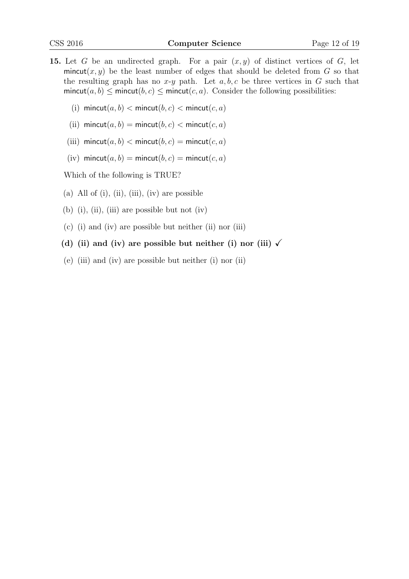- 15. Let G be an undirected graph. For a pair  $(x, y)$  of distinct vertices of G, let mincut(x, y) be the least number of edges that should be deleted from  $G$  so that the resulting graph has no x-y path. Let  $a, b, c$  be three vertices in G such that mincut(a, b)  $\leq$  mincut(b, c)  $\leq$  mincut(c, a). Consider the following possibilities:
	- (i) mincut $(a, b)$  < mincut $(b, c)$  < mincut $(c, a)$
	- (ii) mincut $(a, b)$  = mincut $(b, c)$  < mincut $(c, a)$
	- (iii) mincut(a, b)  $\langle$  mincut(b, c) = mincut(c, a)
	- (iv) mincut(a, b) = mincut(b, c) = mincut(c, a)

Which of the following is TRUE?

- (a) All of (i), (ii), (iii), (iv) are possible
- (b) (i), (ii), (iii) are possible but not (iv)
- (c) (i) and (iv) are possible but neither (ii) nor (iii)
- (d) (ii) and (iv) are possible but neither (i) nor (iii)  $\sqrt{ }$
- (e) (iii) and (iv) are possible but neither (i) nor (ii)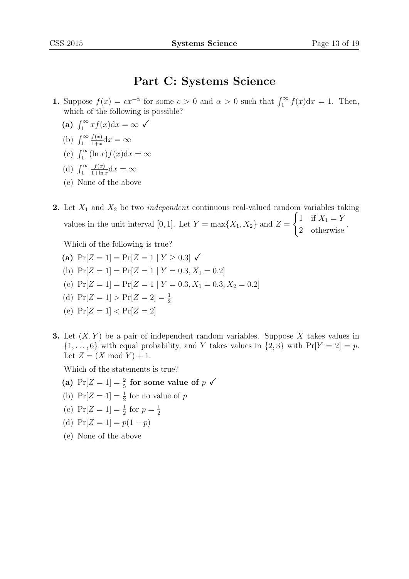### Part C: Systems Science

- 1. Suppose  $f(x) = cx^{-\alpha}$  for some  $c > 0$  and  $\alpha > 0$  such that  $\int_1^{\infty} f(x) dx = 1$ . Then, which of the following is possible?
	- (a)  $\int_1^\infty x f(x) dx = \infty$   $\checkmark$
	- (b)  $\int_1^\infty$  $f(x)$  $\frac{f(x)}{1+x}dx = \infty$
	- (c)  $\int_1^\infty (\ln x) f(x) dx = \infty$
	- (d)  $\int_1^\infty$  $f(x)$  $\frac{f(x)}{1+\ln x}dx = \infty$
	- (e) None of the above

2. Let  $X_1$  and  $X_2$  be two *independent* continuous real-valued random variables taking values in the unit interval [0, 1]. Let  $Y = \max\{X_1, X_2\}$  and  $Z =$  $\int 1$  if  $X_1 = Y$ 2 otherwise .

Which of the following is true?

- (a)  $Pr[Z = 1] = Pr[Z = 1 | Y \ge 0.3] \checkmark$
- (b)  $Pr[Z = 1] = Pr[Z = 1 | Y = 0.3, X_1 = 0.2]$
- (c)  $Pr[Z = 1] = Pr[Z = 1 | Y = 0.3, X_1 = 0.3, X_2 = 0.2]$
- (d)  $Pr[Z = 1] > Pr[Z = 2] = \frac{1}{2}$
- (e)  $Pr[Z = 1] < Pr[Z = 2]$
- **3.** Let  $(X, Y)$  be a pair of independent random variables. Suppose X takes values in  $\{1,\ldots,6\}$  with equal probability, and Y takes values in  $\{2,3\}$  with  $Pr[Y=2]=p$ . Let  $Z = (X \bmod Y) + 1$ .

Which of the statements is true?

- (a)  $Pr[Z = 1] = \frac{2}{5}$  for some value of  $p \checkmark$
- (b)  $Pr[Z = 1] = \frac{1}{2}$  for no value of p
- (c)  $Pr[Z = 1] = \frac{1}{2}$  for  $p = \frac{1}{2}$ 2
- (d)  $Pr[Z = 1] = p(1 p)$
- (e) None of the above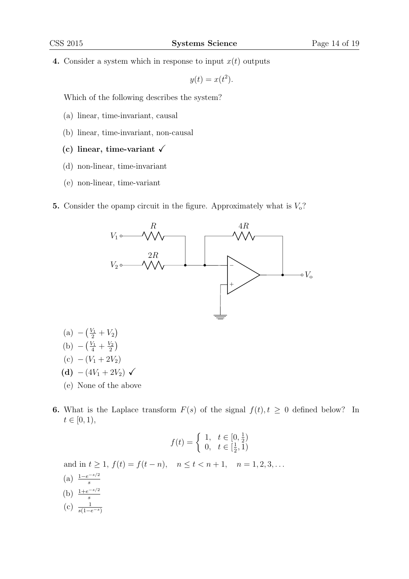4. Consider a system which in response to input  $x(t)$  outputs

 $y(t) = x(t^2)$ .

Which of the following describes the system?

- (a) linear, time-invariant, causal
- (b) linear, time-invariant, non-causal
- (c) linear, time-variant  $\sqrt{}$
- (d) non-linear, time-invariant
- (e) non-linear, time-variant
- 5. Consider the opamp circuit in the figure. Approximately what is  $V_0$ ?



- $(a) -(\frac{V_1}{2} + V_2)$ (b)  $-\left(\frac{V_1}{4} + \frac{V_2}{2}\right)$  $\frac{\sqrt{2}}{2}\Big)$ (c)  $-(V_1 + 2V_2)$ (d)  $-(4V_1+2V_2)$   $\checkmark$
- (e) None of the above
- 6. What is the Laplace transform  $F(s)$  of the signal  $f(t), t \geq 0$  defined below? In  $t \in [0, 1),$

$$
f(t) = \begin{cases} 1, & t \in [0, \frac{1}{2}) \\ 0, & t \in [\frac{1}{2}, 1) \end{cases}
$$

and in  $t \ge 1$ ,  $f(t) = f(t - n)$ ,  $n \le t < n + 1$ ,  $n = 1, 2, 3, ...$ 

- $(a) \frac{1-e^{-s/2}}{s}$ (b)  $\frac{1+e^{-s/2}}{s}$
- (c)  $\frac{1}{s(1-e^{-s})}$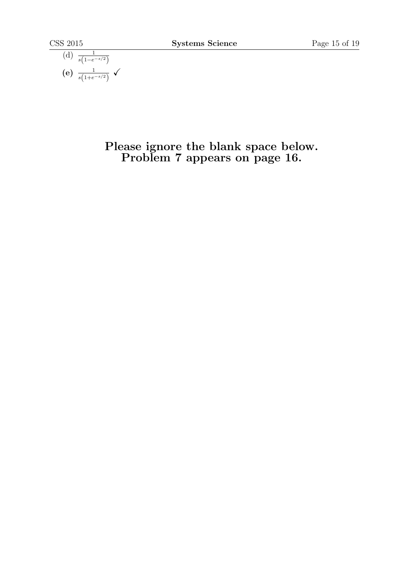(d) 
$$
\frac{1}{s(1-e^{-s/2})}
$$
  
(e)  $\frac{1}{s(1+e^{-s/2})}$ 

### Please ignore the blank space below. Problem 7 appears on page 16.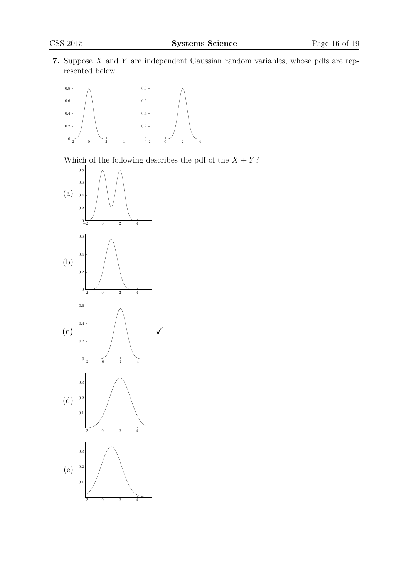7. Suppose  $X$  and  $Y$  are independent Gaussian random variables, whose pdfs are represented below.



Which of the following describes the pdf of the  $X + Y$ ?

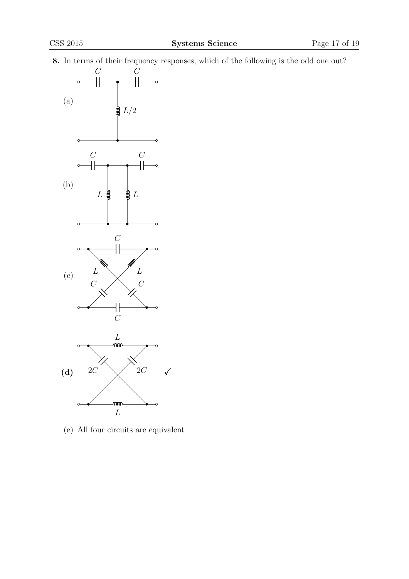8. In terms of their frequency responses, which of the following is the odd one out?



(e) All four circuits are equivalent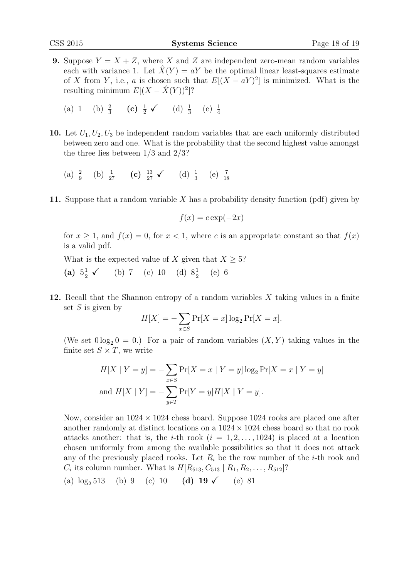- **9.** Suppose  $Y = X + Z$ , where X and Z are independent zero-mean random variables each with variance 1. Let  $\hat{X}(Y) = aY$  be the optimal linear least-squares estimate of X from Y, i.e., a is chosen such that  $E[(X - aY)^2]$  is minimized. What is the resulting minimum  $E[(X - \hat{X}(Y))^2]$ ?
	- (a) 1 (b)  $\frac{2}{3}$  (c)  $\frac{1}{2}$  (d)  $\frac{1}{3}$  (e)  $\frac{1}{4}$
- 10. Let  $U_1, U_2, U_3$  be independent random variables that are each uniformly distributed between zero and one. What is the probability that the second highest value amongst the three lies between 1/3 and 2/3?
	- (a)  $\frac{2}{9}$  (b)  $\frac{1}{27}$  (c)  $\frac{13}{27}$   $\checkmark$  (d)  $\frac{1}{3}$  (e)  $\frac{7}{18}$
- 11. Suppose that a random variable  $X$  has a probability density function (pdf) given by

$$
f(x) = c \exp(-2x)
$$

for  $x \ge 1$ , and  $f(x) = 0$ , for  $x < 1$ , where c is an appropriate constant so that  $f(x)$ is a valid pdf.

What is the expected value of X given that  $X \geq 5$ ?

- (a)  $5\frac{1}{2}$   $\checkmark$  (b) 7 (c) 10 (d)  $8\frac{1}{2}$  (e) 6
- 12. Recall that the Shannon entropy of a random variables X taking values in a finite set  $S$  is given by

$$
H[X] = -\sum_{x \in S} \Pr[X = x] \log_2 \Pr[X = x].
$$

(We set  $0 \log_2 0 = 0$ .) For a pair of random variables  $(X, Y)$  taking values in the finite set  $S \times T$ , we write

$$
H[X \mid Y = y] = -\sum_{x \in S} \Pr[X = x \mid Y = y] \log_2 \Pr[X = x \mid Y = y]
$$
  
and 
$$
H[X \mid Y] = -\sum_{y \in T} \Pr[Y = y] H[X \mid Y = y].
$$

Now, consider an  $1024 \times 1024$  chess board. Suppose 1024 rooks are placed one after another randomly at distinct locations on a  $1024 \times 1024$  chess board so that no rook attacks another: that is, the *i*-th rook  $(i = 1, 2, ..., 1024)$  is placed at a location chosen uniformly from among the available possibilities so that it does not attack any of the previously placed rooks. Let  $R_i$  be the row number of the *i*-th rook and  $C_i$  its column number. What is  $H[R_{513}, C_{513} | R_1, R_2, \ldots, R_{512}]$ ?

(a)  $\log_2 513$  (b) 9 (c) 10 (d) 19  $\checkmark$  (e) 81